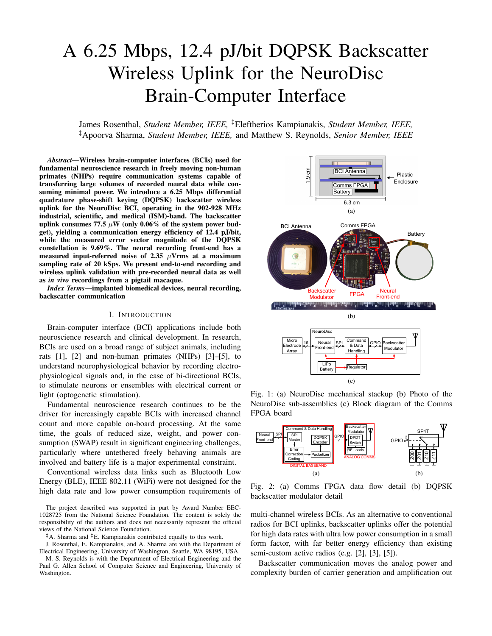# A 6.25 Mbps, 12.4 pJ/bit DQPSK Backscatter Wireless Uplink for the NeuroDisc Brain-Computer Interface

James Rosenthal, *Student Member, IEEE,* ‡Eleftherios Kampianakis, *Student Member, IEEE,* ‡Apoorva Sharma, *Student Member, IEEE,* and Matthew S. Reynolds, *Senior Member, IEEE*

*Abstract*—Wireless brain-computer interfaces (BCIs) used for fundamental neuroscience research in freely moving non-human primates (NHPs) require communication systems capable of transferring large volumes of recorded neural data while consuming minimal power. We introduce a 6.25 Mbps differential quadrature phase-shift keying (DQPSK) backscatter wireless uplink for the NeuroDisc BCI, operating in the 902-928 MHz industrial, scientific, and medical (ISM)-band. The backscatter uplink consumes 77.5  $\mu$ W (only 0.06% of the system power budget), yielding a communication energy efficiency of 12.4 pJ/bit, while the measured error vector magnitude of the DQPSK constellation is 9.69%. The neural recording front-end has a measured input-referred noise of 2.35  $\mu$ Vrms at a maximum sampling rate of 20 kSps. We present end-to-end recording and wireless uplink validation with pre-recorded neural data as well as *in vivo* recordings from a pigtail macaque.

*Index Terms*—implanted biomedical devices, neural recording, backscatter communication

## I. INTRODUCTION

Brain-computer interface (BCI) applications include both neuroscience research and clinical development. In research, BCIs are used on a broad range of subject animals, including rats [1], [2] and non-human primates (NHPs) [3]–[5], to understand neurophysiological behavior by recording electrophysiological signals and, in the case of bi-directional BCIs, to stimulate neurons or ensembles with electrical current or light (optogenetic stimulation).

Fundamental neuroscience research continues to be the driver for increasingly capable BCIs with increased channel count and more capable on-board processing. At the same time, the goals of reduced size, weight, and power consumption (SWAP) result in significant engineering challenges, particularly where untethered freely behaving animals are involved and battery life is a major experimental constraint.

Conventional wireless data links such as Bluetooth Low Energy (BLE), IEEE 802.11 (WiFi) were not designed for the high data rate and low power consumption requirements of

The project described was supported in part by Award Number EEC-1028725 from the National Science Foundation. The content is solely the responsibility of the authors and does not necessarily represent the official views of the National Science Foundation.

 $<sup>‡</sup> A$ . Sharma and  $<sup>‡</sup> E$ . Kampianakis contributed equally to this work.</sup></sup>

J. Rosenthal, E. Kampianakis, and A. Sharma are with the Department of Electrical Engineering, University of Washington, Seattle, WA 98195, USA.

M. S. Reynolds is with the Department of Electrical Engineering and the Paul G. Allen School of Computer Science and Engineering, University of Washington.



Fig. 1: (a) NeuroDisc mechanical stackup (b) Photo of the NeuroDisc sub-assemblies (c) Block diagram of the Comms FPGA board



Fig. 2: (a) Comms FPGA data flow detail (b) DQPSK backscatter modulator detail

multi-channel wireless BCIs. As an alternative to conventional radios for BCI uplinks, backscatter uplinks offer the potential for high data rates with ultra low power consumption in a small form factor, with far better energy efficiency than existing semi-custom active radios (e.g. [2], [3], [5]).

Backscatter communication moves the analog power and complexity burden of carrier generation and amplification out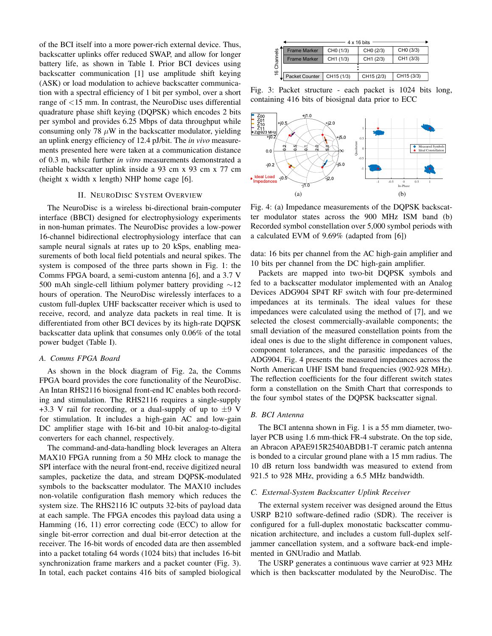of the BCI itself into a more power-rich external device. Thus, backscatter uplinks offer reduced SWAP, and allow for longer battery life, as shown in Table I. Prior BCI devices using backscatter communication [1] use amplitude shift keying (ASK) or load modulation to achieve backscatter communication with a spectral efficiency of 1 bit per symbol, over a short range of <15 mm. In contrast, the NeuroDisc uses differential quadrature phase shift keying (DQPSK) which encodes 2 bits per symbol and provides 6.25 Mbps of data throughput while consuming only 78  $\mu$ W in the backscatter modulator, yielding an uplink energy efficiency of 12.4 pJ/bit. The *in vivo* measurements presented here were taken at a communication distance of 0.3 m, while further *in vitro* measurements demonstrated a reliable backscatter uplink inside a 93 cm x 93 cm x 77 cm (height x width x length) NHP home cage [6].

## II. NEURODISC SYSTEM OVERVIEW

The NeuroDisc is a wireless bi-directional brain-computer interface (BBCI) designed for electrophysiology experiments in non-human primates. The NeuroDisc provides a low-power 16-channel bidirectional electrophysiology interface that can sample neural signals at rates up to 20 kSps, enabling measurements of both local field potentials and neural spikes. The system is composed of the three parts shown in Fig. 1: the Comms FPGA board, a semi-custom antenna [6], and a 3.7 V 500 mAh single-cell lithium polymer battery providing ∼12 hours of operation. The NeuroDisc wirelessly interfaces to a custom full-duplex UHF backscatter receiver which is used to receive, record, and analyze data packets in real time. It is differentiated from other BCI devices by its high-rate DQPSK backscatter data uplink that consumes only 0.06% of the total power budget (Table I). Interaction of the bits of sample in the sample in the sample in the sample of the sample of sample in the sample of sample in the sample of sample in the sample of sample of sample of sample of sample of sample of sample

## *A. Comms FPGA Board*

As shown in the block diagram of Fig. 2a, the Comms FPGA board provides the core functionality of the NeuroDisc. An Intan RHS2116 biosignal front-end IC enables both recording and stimulation. The RHS2116 requires a single-supply +3.3 V rail for recording, or a dual-supply of up to  $\pm$ 9 V for stimulation. It includes a high-gain AC and low-gain DC amplifier stage with 16-bit and 10-bit analog-to-digital converters for each channel, respectively.

The command-and-data-handling block leverages an Altera MAX10 FPGA running from a 50 MHz clock to manage the SPI interface with the neural front-end, receive digitized neural samples, packetize the data, and stream DQPSK-modulated symbols to the backscatter modulator. The MAX10 includes non-volatile configuration flash memory which reduces the system size. The RHS2116 IC outputs 32-bits of payload data at each sample. The FPGA encodes this payload data using a Hamming (16, 11) error correcting code (ECC) to allow for single bit-error correction and dual bit-error detection at the receiver. The 16-bit words of encoded data are then assembled into a packet totaling 64 words (1024 bits) that includes 16-bit synchronization frame markers and a packet counter (Fig. 3).

|          | $4 \times 16$ bits    |                       |                       |                       |  |  |
|----------|-----------------------|-----------------------|-----------------------|-----------------------|--|--|
|          | <b>Frame Marker</b>   | CH <sub>0</sub> (1/3) | CH <sub>0</sub> (2/3) | CH <sub>0</sub> (3/3) |  |  |
| Channels | <b>Frame Marker</b>   | CH1 (1/3)             | CH1 (2/3)             | CH1 (3/3)             |  |  |
|          |                       |                       |                       |                       |  |  |
| ڢ        | <b>Packet Counter</b> | CH15 (1/3)            | CH15 (2/3)            | CH15 (3/3)            |  |  |
|          |                       |                       |                       |                       |  |  |

Fig. 3: Packet structure - each packet is 1024 bits long, containing 416 bits of biosignal data prior to ECC



Fig. 4: (a) Impedance measurements of the DQPSK backscatter modulator states across the 900 MHz ISM band (b) Recorded symbol constellation over 5,000 symbol periods with a calculated EVM of 9.69% (adapted from [6])

data: 16 bits per channel from the AC high-gain amplifier and 10 bits per channel from the DC high-gain amplifier.

Packets are mapped into two-bit DQPSK symbols and fed to a backscatter modulator implemented with an Analog Devices ADG904 SP4T RF switch with four pre-determined impedances at its terminals. The ideal values for these impedances were calculated using the method of [7], and we selected the closest commercially-available components; the small deviation of the measured constellation points from the ideal ones is due to the slight difference in component values, component tolerances, and the parasitic impedances of the ADG904. Fig. 4 presents the measured impedances across the North American UHF ISM band frequencies (902-928 MHz). The reflection coefficients for the four different switch states form a constellation on the Smith Chart that corresponds to the four symbol states of the DQPSK backscatter signal.

## *B. BCI Antenna*

The BCI antenna shown in Fig. 1 is a 55 mm diameter, twolayer PCB using 1.6 mm-thick FR-4 substrate. On the top side, an Abracon APAE915R2540ABDB1-T ceramic patch antenna is bonded to a circular ground plane with a 15 mm radius. The 10 dB return loss bandwidth was measured to extend from 921.5 to 928 MHz, providing a 6.5 MHz bandwidth.

# *C. External-System Backscatter Uplink Receiver*

The external system receiver was designed around the Ettus USRP B210 software-defined radio (SDR). The receiver is configured for a full-duplex monostatic backscatter communication architecture, and includes a custom full-duplex selfjammer cancellation system, and a software back-end implemented in GNUradio and Matlab.

The USRP generates a continuous wave carrier at 923 MHz which is then backscatter modulated by the NeuroDisc. The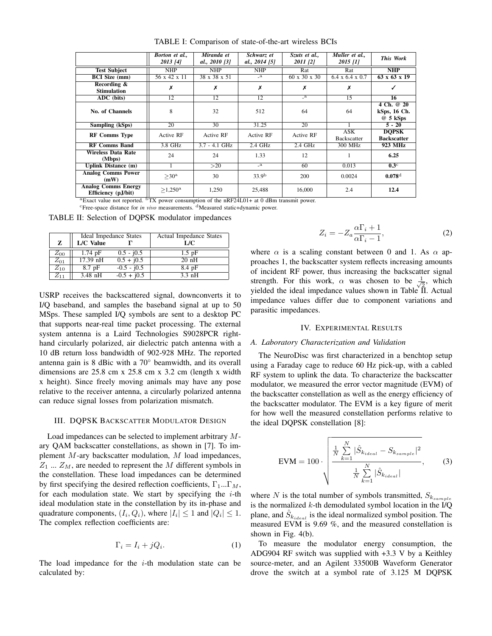|                                                                                                       | Borton et al.,<br>2013 [4] | Miranda et<br>al., 2010 [3] | Schwarz et<br>al., 2014 [5] | Szuts et al.,<br>2011 [2] | Muller et al.,<br>2015 [1]       | This Work                               |
|-------------------------------------------------------------------------------------------------------|----------------------------|-----------------------------|-----------------------------|---------------------------|----------------------------------|-----------------------------------------|
| <b>Test Subject</b>                                                                                   | NHP                        | <b>NHP</b>                  | <b>NHP</b>                  | Rat                       | Rat                              | NHP                                     |
| <b>BCI</b> Size (mm)                                                                                  | 56 x 42 x 11               | 38 x 38 x 51                | $\mathbf{a}$                | $60 \times 30 \times 30$  | $6.4 \times 6.4 \times 0.7$      | $63 \times 63 \times 19$                |
| Recording &<br><b>Stimulation</b>                                                                     | Х                          | Х                           | Х                           | Х                         | Х                                |                                         |
| ADC (bits)                                                                                            | 12                         | 12                          | 12                          | $\mathbf{a}$              | 15                               | 16                                      |
| No. of Channels                                                                                       | 8                          | 32                          | 512                         | 64                        | 64                               | 4 Ch. @ 20<br>kSps, 16 Ch.<br>$@5$ kSps |
| Sampling (kSps)                                                                                       | 20                         | 30                          | 31.25                       | 20                        |                                  | $5 - 20$                                |
| <b>RF Comms Type</b>                                                                                  | <b>Active RF</b>           | <b>Active RF</b>            | <b>Active RF</b>            | Active RF                 | <b>ASK</b><br><b>Backscatter</b> | <b>DOPSK</b><br><b>Backscatter</b>      |
| <b>RF Comms Band</b>                                                                                  | 3.8 GHz                    | $3.7 - 4.1$ GHz             | $2.4$ GHz                   | $2.4$ GHz                 | 300 MHz                          | 923 MHz                                 |
| <b>Wireless Data Rate</b><br>(Mbps)                                                                   | 24                         | 24                          | 1.33                        | 12                        |                                  | 6.25                                    |
| <b>Uplink Distance (m)</b>                                                                            |                            | >20                         | $\mathbf{a}$                | 60                        | 0.013                            | $0.3^\circ$                             |
| <b>Analog Comms Power</b><br>(mW)                                                                     | $>30^{\rm a}$              | 30                          | 33.9 <sup>b</sup>           | 200                       | 0.0024                           | $0.078$ <sup>d</sup>                    |
| <b>Analog Comms Energy</b><br>Efficiency (pJ/bit)<br>$\overline{\phantom{a}}$ . however<br>$\sim$ $-$ | $>1,250^{\rm a}$           | 1,250<br>$\sim$ $\sim$      | 25,488<br>provided a model  | 16,000                    | 2.4                              | 12.4                                    |

TABLE I: Comparison of state-of-the-art wireless BCIs

 ${}^{\text{a}}$ Exact value not reported.  ${}^{\text{b}}$ TX power consumption of the nRF24L01+ at 0 dBm transmit power.

<sup>c</sup>Free-space distance for *in vivo* measurements. <sup>d</sup>Measured static+dynamic power.

TABLE II: Selection of DQPSK modulator impedances

|          |            | Ideal Impedance States | Actual Impedance States |  |  |
|----------|------------|------------------------|-------------------------|--|--|
| z        | L/C Value  |                        | L/C                     |  |  |
| $Z_{00}$ | $1.74$ pF  | $0.5 - i0.5$           | $1.5$ pF                |  |  |
| $Z_{01}$ | $17.39$ nH | $0.5 + j0.5$           | $20$ nH                 |  |  |
| $Z_{10}$ | 8.7 pF     | $-0.5 - j0.5$          | 8.4pF                   |  |  |
| $Z_{11}$ | $3.48$ nH  | $-0.5 + j0.5$          | $3.3 \text{ nH}$        |  |  |

USRP receives the backscattered signal, downconverts it to I/Q baseband, and samples the baseband signal at up to 50 MSps. These sampled I/Q symbols are sent to a desktop PC that supports near-real time packet processing. The external system antenna is a Laird Technologies S9028PCR righthand circularly polarized, air dielectric patch antenna with a 10 dB return loss bandwidth of 902-928 MHz. The reported antenna gain is 8 dBic with a 70◦ beamwidth, and its overall dimensions are 25.8 cm x 25.8 cm x 3.2 cm (length x width x height). Since freely moving animals may have any pose relative to the receiver antenna, a circularly polarized antenna can reduce signal losses from polarization mismatch.

## III. DQPSK BACKSCATTER MODULATOR DESIGN

Load impedances can be selected to implement arbitrary Mary QAM backscatter constellations, as shown in [7]. To implement M-ary backscatter modulation, M load impedances,  $Z_1 \ldots Z_M$ , are needed to represent the M different symbols in the constellation. These load impedances can be determined by first specifying the desired reflection coefficients,  $\Gamma_1...\Gamma_M$ , for each modulation state. We start by specifying the  $i$ -th ideal modulation state in the constellation by its in-phase and quadrature components,  $(I_i, Q_i)$ , where  $|I_i| \leq 1$  and  $|Q_i| \leq 1$ . The complex reflection coefficients are:

$$
\Gamma_i = I_i + jQ_i. \tag{1}
$$

The load impedance for the  $i$ -th modulation state can be calculated by:

$$
Z_i = -Z_a \frac{\alpha \Gamma_i + 1}{\alpha \Gamma_i - 1},\tag{2}
$$

where  $\alpha$  is a scaling constant between 0 and 1. As  $\alpha$  approaches 1, the backscatter system reflects increasing amounts of incident RF power, thus increasing the backscatter signal strength. For this work,  $\alpha$  was chosen to be  $\frac{1}{\sqrt{6}}$  $\frac{1}{2}$ , which yielded the ideal impedance values shown in Table  $II$ . Actual impedance values differ due to component variations and parasitic impedances.

#### IV. EXPERIMENTAL RESULTS

#### *A. Laboratory Characterization and Validation*

The NeuroDisc was first characterized in a benchtop setup using a Faraday cage to reduce 60 Hz pick-up, with a cabled RF system to uplink the data. To characterize the backscatter modulator, we measured the error vector magnitude (EVM) of the backscatter constellation as well as the energy efficiency of the backscatter modulator. The EVM is a key figure of merit for how well the measured constellation performs relative to the ideal DQPSK constellation [8]:

$$
EVM = 100 \cdot \sqrt{\frac{\frac{1}{N} \sum_{k=1}^{N} |\hat{S}_{k_{ideal}} - S_{k_{sample}}|^2}{\frac{1}{N} \sum_{k=1}^{N} |\hat{S}_{k_{ideal}}|}},
$$
(3)

where N is the total number of symbols transmitted,  $S_{k_{sample}}$ is the normalized  $k$ -th demodulated symbol location in the I/Q plane, and  $\hat{S}_{k_{ideal}}$  is the ideal normalized symbol position. The measured EVM is 9.69 %, and the measured constellation is shown in Fig. 4(b).

To measure the modulator energy consumption, the ADG904 RF switch was supplied with +3.3 V by a Keithley source-meter, and an Agilent 33500B Waveform Generator drove the switch at a symbol rate of 3.125 M DQPSK